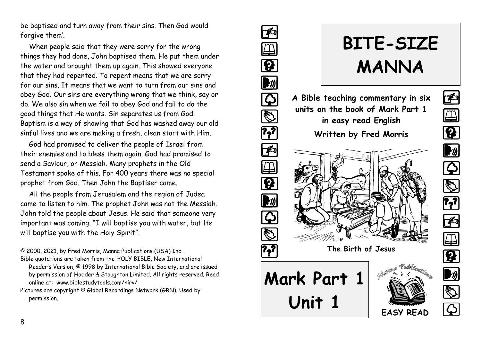be baptised and turn away from their sins. Then God would forgive them'.

When people said that they were sorry for the wrong things they had done, John baptised them. He put them under the water and brought them up again. This showed everyone that they had repented. To repent means that we are sorry for our sins. It means that we want to turn from our sins and obey God. Our sins are everything wrong that we think, say or do. We also sin when we fail to obey God and fail to do the good things that He wants. Sin separates us from God. Baptism is a way of showing that God has washed away our old sinful lives and we are making a fresh, clean start with Him.

God had promised to deliver the people of Israel from their enemies and to bless them again. God had promised to send a Saviour, or Messiah. Many prophets in the Old Testament spoke of this. For 400 years there was no special prophet from God. Then John the Baptiser came.

All the people from Jerusalem and the region of Judea came to listen to him. The prophet John was not the Messiah. John told the people about Jesus. He said that someone very important was coming. "I will baptise you with water, but He will baptise you with the Holy Spirit".

© 2000, 2021, by Fred Morris, Manna Publications (USA) Inc.

- Bible quotations are taken from the HOLY BIBLE, New International Reader's Version, © 1998 by International Bible Society, and are issued by permission of Hodder & Stoughton Limited. All rights reserved. Read online at: www.biblestudytools.com/nirv/
- Pictures are copyright © Global Recordings Network (GRN). Used by permission.



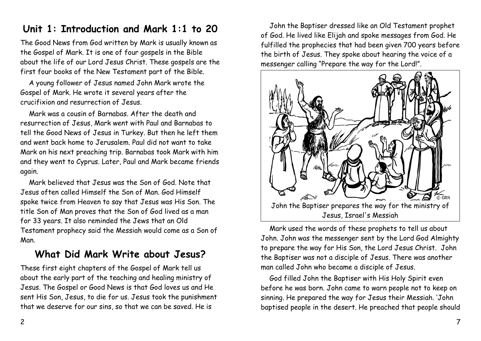### **Unit 1: Introduction and Mark 1:1 to 20**

The Good News from God written by Mark is usually known as the Gospel of Mark. It is one of four gospels in the Bible about the life of our Lord Jesus Christ. These gospels are the first four books of the New Testament part of the Bible.

A young follower of Jesus named John Mark wrote the Gospel of Mark. He wrote it several years after the crucifixion and resurrection of Jesus.

Mark was a cousin of Barnabas. After the death and resurrection of Jesus, Mark went with Paul and Barnabas to tell the Good News of Jesus in Turkey. But then he left them and went back home to Jerusalem. Paul did not want to take Mark on his next preaching trip. Barnabas took Mark with him and they went to Cyprus. Later, Paul and Mark became friends again.

Mark believed that Jesus was the Son of God. Note that Jesus often called Himself the Son of Man. God Himself spoke twice from Heaven to say that Jesus was His Son. The title Son of Man proves that the Son of God lived as a man for 33 years. It also reminded the Jews that an Old Testament prophecy said the Messiah would come as a Son of Man.

### **What Did Mark Write about Jesus?**

These first eight chapters of the Gospel of Mark tell us about the early part of the teaching and healing ministry of Jesus. The Gospel or Good News is that God loves us and He sent His Son, Jesus, to die for us. Jesus took the punishment that we deserve for our sins, so that we can be saved. He is

John the Baptiser dressed like an Old Testament prophet of God. He lived like Elijah and spoke messages from God. He fulfilled the prophecies that had been given 700 years before the birth of Jesus. They spoke about hearing the voice of a messenger calling "Prepare the way for the Lord!".



Mark used the words of these prophets to tell us about John. John was the messenger sent by the Lord God Almighty to prepare the way for His Son, the Lord Jesus Christ. John the Baptiser was not a disciple of Jesus. There was another man called John who became a disciple of Jesus.

God filled John the Baptiser with His Holy Spirit even before he was born. John came to warn people not to keep on sinning. He prepared the way for Jesus their Messiah. 'John baptised people in the desert. He preached that people should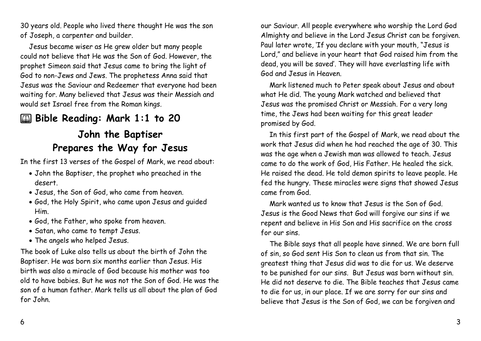30 years old. People who lived there thought He was the son of Joseph, a carpenter and builder.

Jesus became wiser as He grew older but many people could not believe that He was the Son of God. However, the prophet Simeon said that Jesus came to bring the light of God to non-Jews and Jews. The prophetess Anna said that Jesus was the Saviour and Redeemer that everyone had been waiting for. Many believed that Jesus was their Messiah and would set Israel free from the Roman kings.

# 2 **Bible Reading: Mark 1:1 to 20**

## **John the Baptiser Prepares the Way for Jesus**

In the first 13 verses of the Gospel of Mark, we read about:

- John the Baptiser, the prophet who preached in the desert.
- Jesus, the Son of God, who came from heaven.
- God, the Holy Spirit, who came upon Jesus and guided Him.
- God, the Father, who spoke from heaven.
- Satan, who came to tempt Jesus.
- The angels who helped Jesus.

The book of Luke also tells us about the birth of John the Baptiser. He was born six months earlier than Jesus. His birth was also a miracle of God because his mother was too old to have babies. But he was not the Son of God. He was the son of a human father. Mark tells us all about the plan of God for John.

our Saviour. All people everywhere who worship the Lord God Almighty and believe in the Lord Jesus Christ can be forgiven. Paul later wrote, 'If you declare with your mouth, "Jesus is Lord," and believe in your heart that God raised him from the dead, you will be saved'. They will have everlasting life with God and Jesus in Heaven.

Mark listened much to Peter speak about Jesus and about what He did. The young Mark watched and believed that Jesus was the promised Christ or Messiah. For a very long time, the Jews had been waiting for this great leader promised by God.

In this first part of the Gospel of Mark, we read about the work that Jesus did when he had reached the age of 30. This was the age when a Jewish man was allowed to teach. Jesus came to do the work of God, His Father. He healed the sick. He raised the dead. He told demon spirits to leave people. He fed the hungry. These miracles were signs that showed Jesus came from God.

Mark wanted us to know that Jesus is the Son of God. Jesus is the Good News that God will forgive our sins if we repent and believe in His Son and His sacrifice on the cross for our sins.

The Bible says that all people have sinned. We are born full of sin, so God sent His Son to clean us from that sin. The greatest thing that Jesus did was to die for us. We deserve to be punished for our sins. But Jesus was born without sin. He did not deserve to die. The Bible teaches that Jesus came to die for us, in our place. If we are sorry for our sins and believe that Jesus is the Son of God, we can be forgiven and